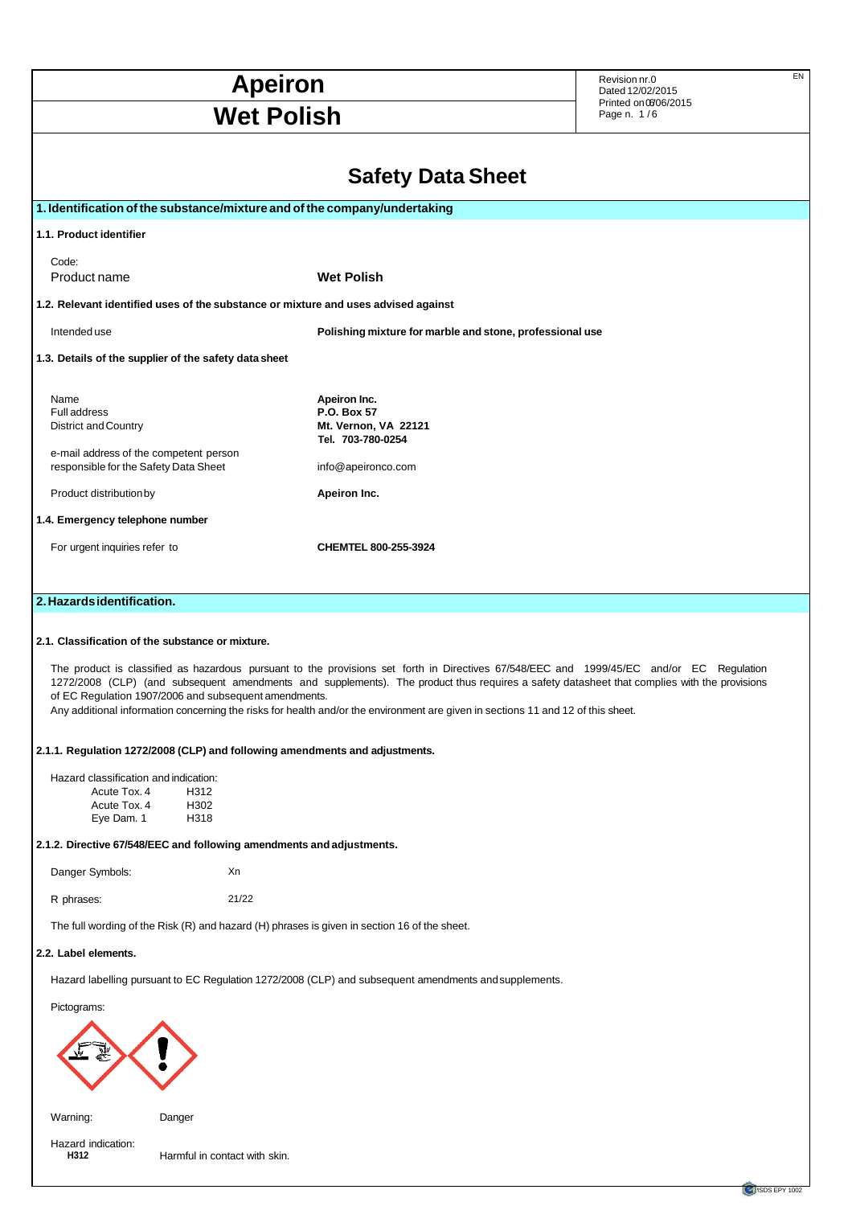| <b>Apeiron</b>                                                                                                                         |                                                                                                                                  | EN<br>Revision nr.0<br>Dated 12/02/2015                                                                                                                                                                                                                                                 |
|----------------------------------------------------------------------------------------------------------------------------------------|----------------------------------------------------------------------------------------------------------------------------------|-----------------------------------------------------------------------------------------------------------------------------------------------------------------------------------------------------------------------------------------------------------------------------------------|
| <b>Wet Polish</b>                                                                                                                      |                                                                                                                                  | Printed on 06/06/2015<br>Page n. 1/6                                                                                                                                                                                                                                                    |
|                                                                                                                                        | <b>Safety Data Sheet</b>                                                                                                         |                                                                                                                                                                                                                                                                                         |
|                                                                                                                                        | 1. Identification of the substance/mixture and of the company/undertaking                                                        |                                                                                                                                                                                                                                                                                         |
| 1.1. Product identifier                                                                                                                |                                                                                                                                  |                                                                                                                                                                                                                                                                                         |
| Code:<br>Product name                                                                                                                  | <b>Wet Polish</b>                                                                                                                |                                                                                                                                                                                                                                                                                         |
|                                                                                                                                        | 1.2. Relevant identified uses of the substance or mixture and uses advised against                                               |                                                                                                                                                                                                                                                                                         |
| Intended use                                                                                                                           | Polishing mixture for marble and stone, professional use                                                                         |                                                                                                                                                                                                                                                                                         |
| 1.3. Details of the supplier of the safety data sheet                                                                                  |                                                                                                                                  |                                                                                                                                                                                                                                                                                         |
| Name<br>Full address<br><b>District and Country</b><br>e-mail address of the competent person<br>responsible for the Safety Data Sheet | Apeiron Inc.<br>P.O. Box 57<br>Mt. Vernon, VA 22121<br>Tel. 703-780-0254<br>info@apeironco.com                                   |                                                                                                                                                                                                                                                                                         |
| Product distribution by                                                                                                                | Apeiron Inc.                                                                                                                     |                                                                                                                                                                                                                                                                                         |
| 1.4. Emergency telephone number                                                                                                        |                                                                                                                                  |                                                                                                                                                                                                                                                                                         |
| For urgent inquiries refer to                                                                                                          | CHEMTEL 800-255-3924                                                                                                             |                                                                                                                                                                                                                                                                                         |
|                                                                                                                                        |                                                                                                                                  |                                                                                                                                                                                                                                                                                         |
| 2. Hazards identification.                                                                                                             |                                                                                                                                  |                                                                                                                                                                                                                                                                                         |
| 2.1. Classification of the substance or mixture.                                                                                       |                                                                                                                                  | The product is classified as hazardous pursuant to the provisions set forth in Directives 67/548/EEC and 1999/45/EC and/or EC Regulation<br>1272/2008 (CLP) (and subsequent amendments and supplements). The product thus requires a safety datasheet that complies with the provisions |
| of EC Regulation 1907/2006 and subsequent amendments.                                                                                  | Any additional information concerning the risks for health and/or the environment are given in sections 11 and 12 of this sheet. |                                                                                                                                                                                                                                                                                         |
| 2.1.1. Regulation 1272/2008 (CLP) and following amendments and adjustments.                                                            |                                                                                                                                  |                                                                                                                                                                                                                                                                                         |
| Hazard classification and indication:<br>Acute Tox. 4<br>H312                                                                          |                                                                                                                                  |                                                                                                                                                                                                                                                                                         |
| Acute Tox. 4<br>H302<br>H318<br>Eye Dam. 1                                                                                             |                                                                                                                                  |                                                                                                                                                                                                                                                                                         |
| 2.1.2. Directive 67/548/EEC and following amendments and adjustments.                                                                  |                                                                                                                                  |                                                                                                                                                                                                                                                                                         |
| Danger Symbols:<br>Xn                                                                                                                  |                                                                                                                                  |                                                                                                                                                                                                                                                                                         |
| 21/22<br>R phrases:                                                                                                                    |                                                                                                                                  |                                                                                                                                                                                                                                                                                         |
|                                                                                                                                        | The full wording of the Risk (R) and hazard (H) phrases is given in section 16 of the sheet.                                     |                                                                                                                                                                                                                                                                                         |
| 2.2. Label elements.                                                                                                                   |                                                                                                                                  |                                                                                                                                                                                                                                                                                         |
|                                                                                                                                        | Hazard labelling pursuant to EC Regulation 1272/2008 (CLP) and subsequent amendments and supplements.                            |                                                                                                                                                                                                                                                                                         |
| Pictograms:                                                                                                                            |                                                                                                                                  |                                                                                                                                                                                                                                                                                         |
|                                                                                                                                        |                                                                                                                                  |                                                                                                                                                                                                                                                                                         |
| Warning:<br>Danger                                                                                                                     |                                                                                                                                  |                                                                                                                                                                                                                                                                                         |

Hazard indication:<br> **H312** 

Harmful in contact with skin.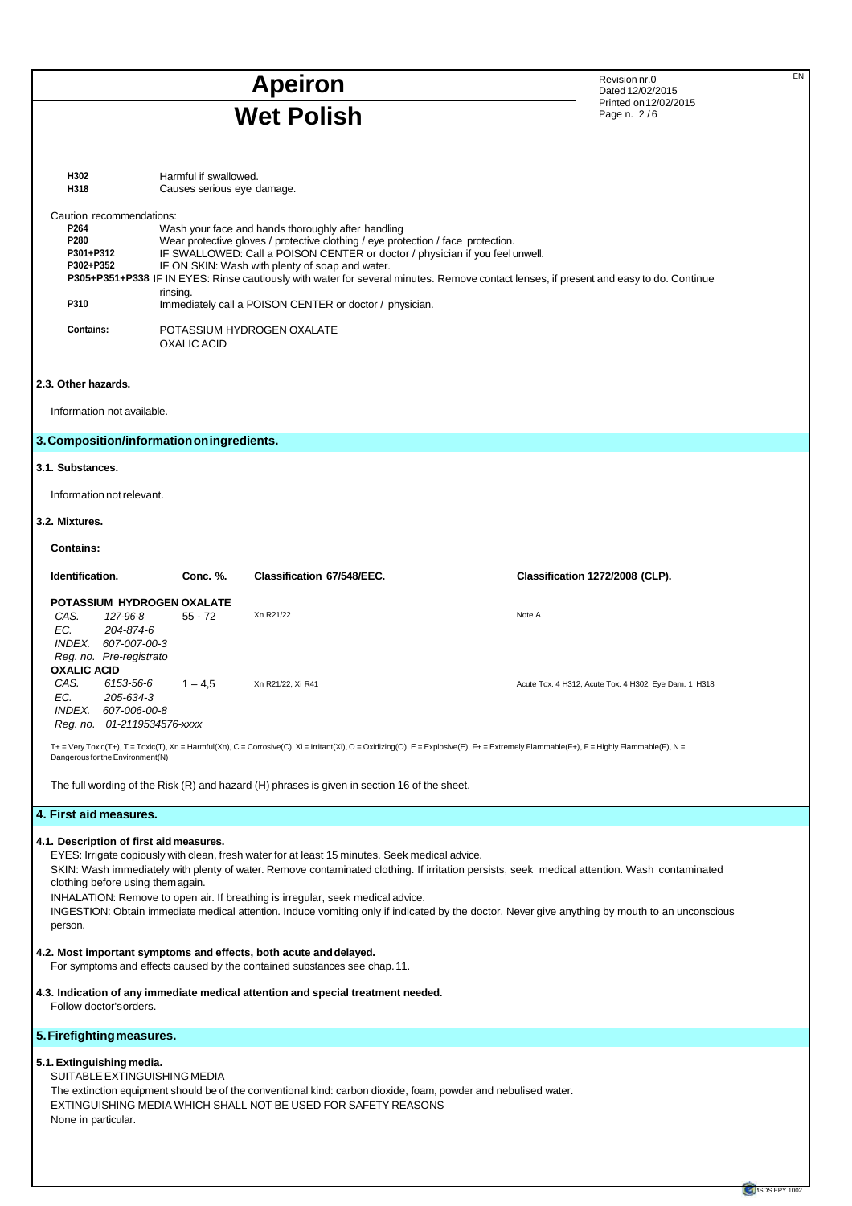## **Apeiron** EN Revision nr.0 EN Revision nr.0 EN Page n. 2 / 6 **Wet Polish**

Dated 12/02/2015 Printed on 12/02/2015

| H302<br>H318                                                                                                         | Harmful if swallowed.<br>Causes serious eye damage.                                                                                                                                                                                                                                                                                                                                                                                                                                                                                            |                                                                                                                                                                                                                                                                                                                                     |  |                                                                                                                                                                                                                                                                                                |  |
|----------------------------------------------------------------------------------------------------------------------|------------------------------------------------------------------------------------------------------------------------------------------------------------------------------------------------------------------------------------------------------------------------------------------------------------------------------------------------------------------------------------------------------------------------------------------------------------------------------------------------------------------------------------------------|-------------------------------------------------------------------------------------------------------------------------------------------------------------------------------------------------------------------------------------------------------------------------------------------------------------------------------------|--|------------------------------------------------------------------------------------------------------------------------------------------------------------------------------------------------------------------------------------------------------------------------------------------------|--|
| Caution recommendations:<br>P264<br>P280<br>P301+P312<br>P302+P352<br>P310<br><b>Contains:</b>                       | Wash your face and hands thoroughly after handling<br>Wear protective gloves / protective clothing / eye protection / face protection.<br>IF SWALLOWED: Call a POISON CENTER or doctor / physician if you feel unwell.<br>IF ON SKIN: Wash with plenty of soap and water.<br>P305+P351+P338 IF IN EYES: Rinse cautiously with water for several minutes. Remove contact lenses, if present and easy to do. Continue<br>rinsing.<br>Immediately call a POISON CENTER or doctor / physician.<br>POTASSIUM HYDROGEN OXALATE<br><b>OXALIC ACID</b> |                                                                                                                                                                                                                                                                                                                                     |  |                                                                                                                                                                                                                                                                                                |  |
| 2.3. Other hazards.                                                                                                  |                                                                                                                                                                                                                                                                                                                                                                                                                                                                                                                                                |                                                                                                                                                                                                                                                                                                                                     |  |                                                                                                                                                                                                                                                                                                |  |
| Information not available.                                                                                           |                                                                                                                                                                                                                                                                                                                                                                                                                                                                                                                                                |                                                                                                                                                                                                                                                                                                                                     |  |                                                                                                                                                                                                                                                                                                |  |
| 3. Composition/information on ingredients.                                                                           |                                                                                                                                                                                                                                                                                                                                                                                                                                                                                                                                                |                                                                                                                                                                                                                                                                                                                                     |  |                                                                                                                                                                                                                                                                                                |  |
| 3.1. Substances.                                                                                                     |                                                                                                                                                                                                                                                                                                                                                                                                                                                                                                                                                |                                                                                                                                                                                                                                                                                                                                     |  |                                                                                                                                                                                                                                                                                                |  |
| Information not relevant.                                                                                            |                                                                                                                                                                                                                                                                                                                                                                                                                                                                                                                                                |                                                                                                                                                                                                                                                                                                                                     |  |                                                                                                                                                                                                                                                                                                |  |
| 3.2. Mixtures.                                                                                                       |                                                                                                                                                                                                                                                                                                                                                                                                                                                                                                                                                |                                                                                                                                                                                                                                                                                                                                     |  |                                                                                                                                                                                                                                                                                                |  |
| <b>Contains:</b>                                                                                                     |                                                                                                                                                                                                                                                                                                                                                                                                                                                                                                                                                |                                                                                                                                                                                                                                                                                                                                     |  |                                                                                                                                                                                                                                                                                                |  |
| Identification.                                                                                                      | Conc. %.                                                                                                                                                                                                                                                                                                                                                                                                                                                                                                                                       | Classification 67/548/EEC.                                                                                                                                                                                                                                                                                                          |  | Classification 1272/2008 (CLP).                                                                                                                                                                                                                                                                |  |
| POTASSIUM HYDROGEN OXALATE<br>CAS.<br>127-96-8<br>EC.<br>204-874-6<br>INDEX. 607-007-00-3<br>Reg. no. Pre-registrato | $55 - 72$                                                                                                                                                                                                                                                                                                                                                                                                                                                                                                                                      | Xn R21/22                                                                                                                                                                                                                                                                                                                           |  | Note A                                                                                                                                                                                                                                                                                         |  |
| <b>OXALIC ACID</b><br>CAS.<br>6153-56-6<br>EC.<br>205-634-3<br>INDEX. 607-006-00-8<br>Reg. no. 01-2119534576-xxxx    | $1 - 4.5$                                                                                                                                                                                                                                                                                                                                                                                                                                                                                                                                      | Xn R21/22, Xi R41                                                                                                                                                                                                                                                                                                                   |  | Acute Tox. 4 H312, Acute Tox. 4 H302, Eye Dam. 1 H318                                                                                                                                                                                                                                          |  |
| Dangerous for the Environment(N)                                                                                     |                                                                                                                                                                                                                                                                                                                                                                                                                                                                                                                                                |                                                                                                                                                                                                                                                                                                                                     |  | T+ = Very Toxic(T+), T = Toxic(T), Xn = Harmful(Xn), C = Corrosive(C), Xi = Irritant(Xi), O = Oxidizing(O), E = Explosive(E), F+ = Extremely Flammable(F+), F = Highly Flammable(F), N =                                                                                                       |  |
|                                                                                                                      |                                                                                                                                                                                                                                                                                                                                                                                                                                                                                                                                                | The full wording of the Risk $(R)$ and hazard $(H)$ phrases is given in section 16 of the sheet.                                                                                                                                                                                                                                    |  |                                                                                                                                                                                                                                                                                                |  |
| 4. First aid measures.                                                                                               |                                                                                                                                                                                                                                                                                                                                                                                                                                                                                                                                                |                                                                                                                                                                                                                                                                                                                                     |  |                                                                                                                                                                                                                                                                                                |  |
| 4.1. Description of first aid measures.<br>clothing before using themagain.<br>person.                               |                                                                                                                                                                                                                                                                                                                                                                                                                                                                                                                                                | EYES: Irrigate copiously with clean, fresh water for at least 15 minutes. Seek medical advice.<br>INHALATION: Remove to open air. If breathing is irregular, seek medical advice.<br>4.2. Most important symptoms and effects, both acute and delayed.<br>For symptoms and effects caused by the contained substances see chap. 11. |  | SKIN: Wash immediately with plenty of water. Remove contaminated clothing. If irritation persists, seek medical attention. Wash contaminated<br>INGESTION: Obtain immediate medical attention. Induce vomiting only if indicated by the doctor. Never give anything by mouth to an unconscious |  |
| Follow doctor's orders.                                                                                              |                                                                                                                                                                                                                                                                                                                                                                                                                                                                                                                                                | 4.3. Indication of any immediate medical attention and special treatment needed.                                                                                                                                                                                                                                                    |  |                                                                                                                                                                                                                                                                                                |  |
| 5. Firefighting measures.                                                                                            |                                                                                                                                                                                                                                                                                                                                                                                                                                                                                                                                                |                                                                                                                                                                                                                                                                                                                                     |  |                                                                                                                                                                                                                                                                                                |  |
| 5.1. Extinguishing media.<br>SUITABLE EXTINGUISHING MEDIA<br>None in particular.                                     |                                                                                                                                                                                                                                                                                                                                                                                                                                                                                                                                                | The extinction equipment should be of the conventional kind: carbon dioxide, foam, powder and nebulised water.<br>EXTINGUISHING MEDIA WHICH SHALL NOT BE USED FOR SAFETY REASONS                                                                                                                                                    |  |                                                                                                                                                                                                                                                                                                |  |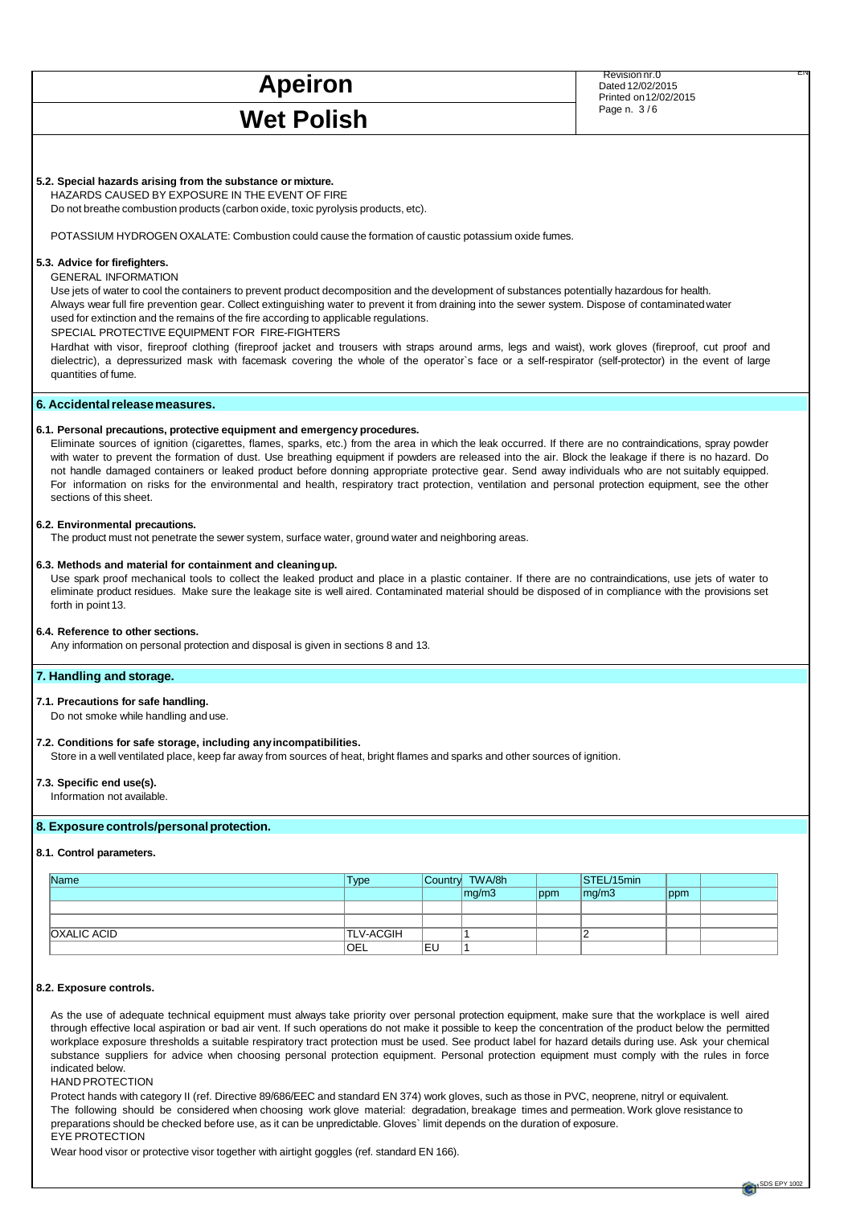# Wet Polish **Page n. 3/6**

**EXPRESS APEIRON** Revision nr.0 ENERGY 2022015 Dated 12/02/2015 Printed on 12/02/2015

## **5.2. Special hazards arising from the substance or mixture.**

HAZARDS CAUSED BY EXPOSURE IN THE EVENT OF FIRE

Do not breathe combustion products (carbon oxide, toxic pyrolysis products, etc).

POTASSIUM HYDROGEN OXALATE: Combustion could cause the formation of caustic potassium oxide fumes.

### **5.3. Advice for firefighters.**

GENERAL INFORMATION

Use jets of water to cool the containers to prevent product decomposition and the development of substances potentially hazardous for health. Always wear full fire prevention gear. Collect extinguishing water to prevent it from draining into the sewer system. Dispose of contaminated water used for extinction and the remains of the fire according to applicable regulations.

SPECIAL PROTECTIVE EQUIPMENT FOR FIRE-FIGHTERS

Hardhat with visor, fireproof clothing (fireproof jacket and trousers with straps around arms, legs and waist), work gloves (fireproof, cut proof and dielectric), a depressurized mask with facemask covering the whole of the operator`s face or a self-respirator (self-protector) in the event of large quantities of fume.

## **6. Accidental release measures.**

#### **6.1. Personal precautions, protective equipment and emergency procedures.**

Eliminate sources of ignition (cigarettes, flames, sparks, etc.) from the area in which the leak occurred. If there are no contraindications, spray powder with water to prevent the formation of dust. Use breathing equipment if powders are released into the air. Block the leakage if there is no hazard. Do not handle damaged containers or leaked product before donning appropriate protective gear. Send away individuals who are not suitably equipped. For information on risks for the environmental and health, respiratory tract protection, ventilation and personal protection equipment, see the other sections of this sheet.

#### **6.2. Environmental precautions.**

The product must not penetrate the sewer system, surface water, ground water and neighboring areas.

#### **6.3. Methods and material for containment and cleaning up.**

Use spark proof mechanical tools to collect the leaked product and place in a plastic container. If there are no contraindications, use jets of water to eliminate product residues. Make sure the leakage site is well aired. Contaminated material should be disposed of in compliance with the provisions set forth in point 13.

#### **6.4. Reference to other sections.**

Any information on personal protection and disposal is given in sections 8 and 13.

#### **7. Handling and storage.**

#### **7.1. Precautions for safe handling.**

Do not smoke while handling and use.

#### **7.2. Conditions for safe storage, including any incompatibilities.**

Store in a well ventilated place, keep far away from sources of heat, bright flames and sparks and other sources of ignition.

#### **7.3. Specific end use(s).**

Information not available.

## **8. Exposure controls/personal protection.**

### **8.1. Control parameters.**

| Name               | <b>Type</b>      |    | Country TWA/8h |     | STEL/15min |     |  |
|--------------------|------------------|----|----------------|-----|------------|-----|--|
|                    |                  |    | mq/m3          | ppm | mg/m3      | ppm |  |
|                    |                  |    |                |     |            |     |  |
|                    |                  |    |                |     |            |     |  |
| <b>OXALIC ACID</b> | <b>TLV-ACGIH</b> |    |                |     |            |     |  |
|                    | <b>OEL</b>       | EU |                |     |            |     |  |

#### **8.2. Exposure controls.**

As the use of adequate technical equipment must always take priority over personal protection equipment, make sure that the workplace is well aired through effective local aspiration or bad air vent. If such operations do not make it possible to keep the concentration of the product below the permitted workplace exposure thresholds a suitable respiratory tract protection must be used. See product label for hazard details during use. Ask your chemical substance suppliers for advice when choosing personal protection equipment. Personal protection equipment must comply with the rules in force indicated below.

## HAND PROTECTION

Protect hands with category II (ref. Directive 89/686/EEC and standard EN 374) work gloves, such as those in PVC, neoprene, nitryl or equivalent. The following should be considered when choosing work glove material: degradation, breakage times and permeation. Work glove resistance to preparations should be checked before use, as it can be unpredictable. Gloves` limit depends on the duration of exposure. EYE PROTECTION

Wear hood visor or protective visor together with airtight goggles (ref. standard EN 166).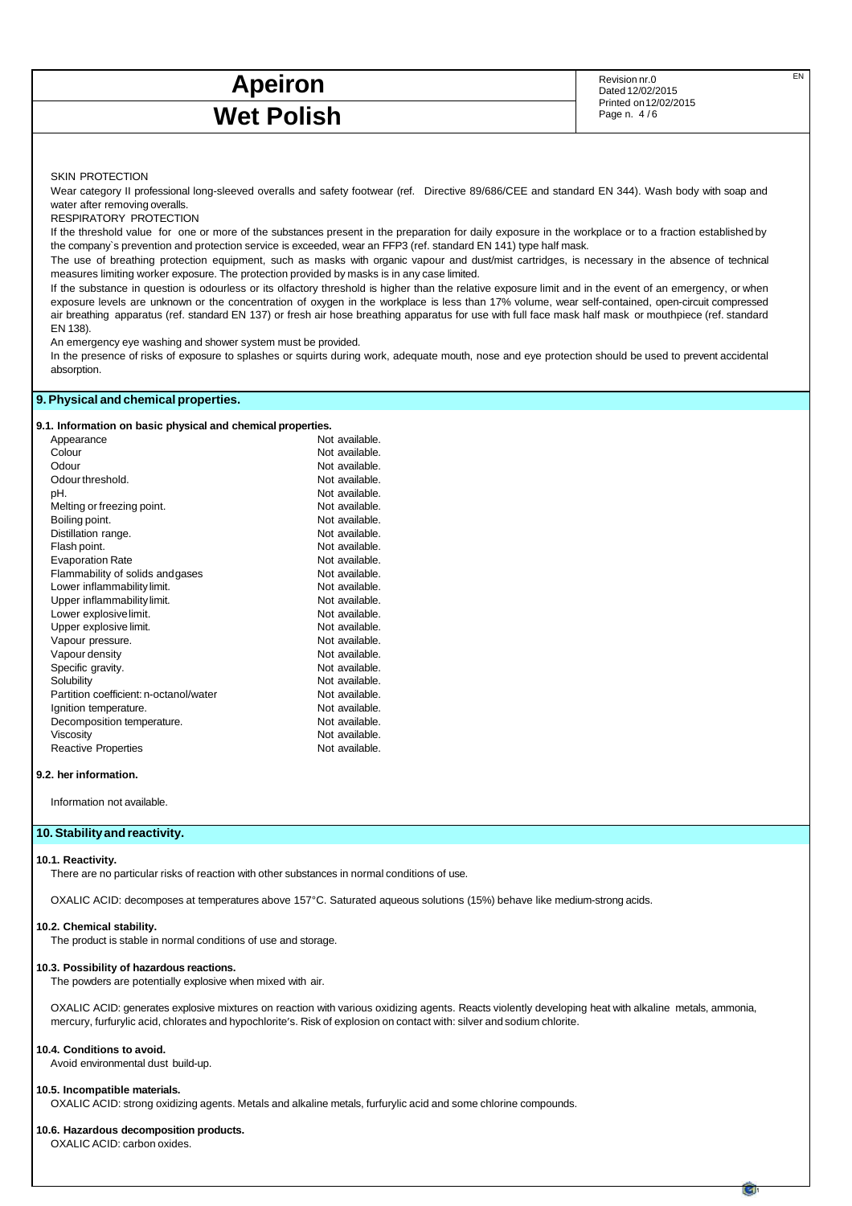## **Apeiron** Revision nr.0 **EN**<br>Dated 12/02/2015 Wet Polish **Example 2011** Printed on 12/8

Dated 12/02/2015 Printed on 12/02/2015

#### SKIN PROTECTION

Wear category II professional long-sleeved overalls and safety footwear (ref. Directive 89/686/CEE and standard EN 344). Wash body with soap and water after removing overalls.

RESPIRATORY PROTECTION

If the threshold value for one or more of the substances present in the preparation for daily exposure in the workplace or to a fraction established by the company`s prevention and protection service is exceeded, wear an FFP3 (ref. standard EN 141) type half mask.

The use of breathing protection equipment, such as masks with organic vapour and dust/mist cartridges, is necessary in the absence of technical measures limiting worker exposure. The protection provided by masks is in any case limited.

If the substance in question is odourless or its olfactory threshold is higher than the relative exposure limit and in the event of an emergency, or when exposure levels are unknown or the concentration of oxygen in the workplace is less than 17% volume, wear self-contained, open-circuit compressed air breathing apparatus (ref. standard EN 137) or fresh air hose breathing apparatus for use with full face mask half mask or mouthpiece (ref. standard EN 138).

An emergency eye washing and shower system must be provided.

In the presence of risks of exposure to splashes or squirts during work, adequate mouth, nose and eye protection should be used to prevent accidental absorption.

## **9. Physical and chemical properties.**

#### **9.1. Information on basic physical and chemical properties.**

| Appearance                             | Not available. |
|----------------------------------------|----------------|
| Colour                                 | Not available. |
| Odour                                  | Not available. |
| Odour threshold.                       | Not available. |
| pH.                                    | Not available. |
| Melting or freezing point.             | Not available. |
| Boiling point.                         | Not available. |
| Distillation range.                    | Not available. |
| Flash point.                           | Not available. |
| <b>Evaporation Rate</b>                | Not available. |
| Flammability of solids andgases        | Not available. |
| Lower inflammability limit.            | Not available. |
| Upper inflammability limit.            | Not available. |
| Lower explosive limit.                 | Not available. |
| Upper explosive limit.                 | Not available. |
| Vapour pressure.                       | Not available. |
| Vapour density                         | Not available. |
| Specific gravity.                      | Not available. |
| Solubility                             | Not available. |
| Partition coefficient: n-octanol/water | Not available. |
| Ignition temperature.                  | Not available. |
| Decomposition temperature.             | Not available. |
| Viscosity                              | Not available. |
| <b>Reactive Properties</b>             | Not available. |
|                                        |                |

#### **9.2. her information.**

Information not available.

## **10. Stability and reactivity.**

#### **10.1. Reactivity.**

There are no particular risks of reaction with other substances in normal conditions of use.

OXALIC ACID: decomposes at temperatures above 157°C. Saturated aqueous solutions (15%) behave like medium-strong acids.

#### **10.2. Chemical stability.**

The product is stable in normal conditions of use and storage.

#### **10.3. Possibility of hazardous reactions.**

The powders are potentially explosive when mixed with air.

OXALIC ACID: generates explosive mixtures on reaction with various oxidizing agents. Reacts violently developing heat with alkaline metals, ammonia, mercury, furfurylic acid, chlorates and hypochlorite's. Risk of explosion on contact with: silver and sodium chlorite.

### **10.4. Conditions to avoid.**

Avoid environmental dust build-up.

#### **10.5. Incompatible materials.**

OXALIC ACID: strong oxidizing agents. Metals and alkaline metals, furfurylic acid and some chlorine compounds.

### **10.6. Hazardous decomposition products.**

OXALIC ACID: carbon oxides.

M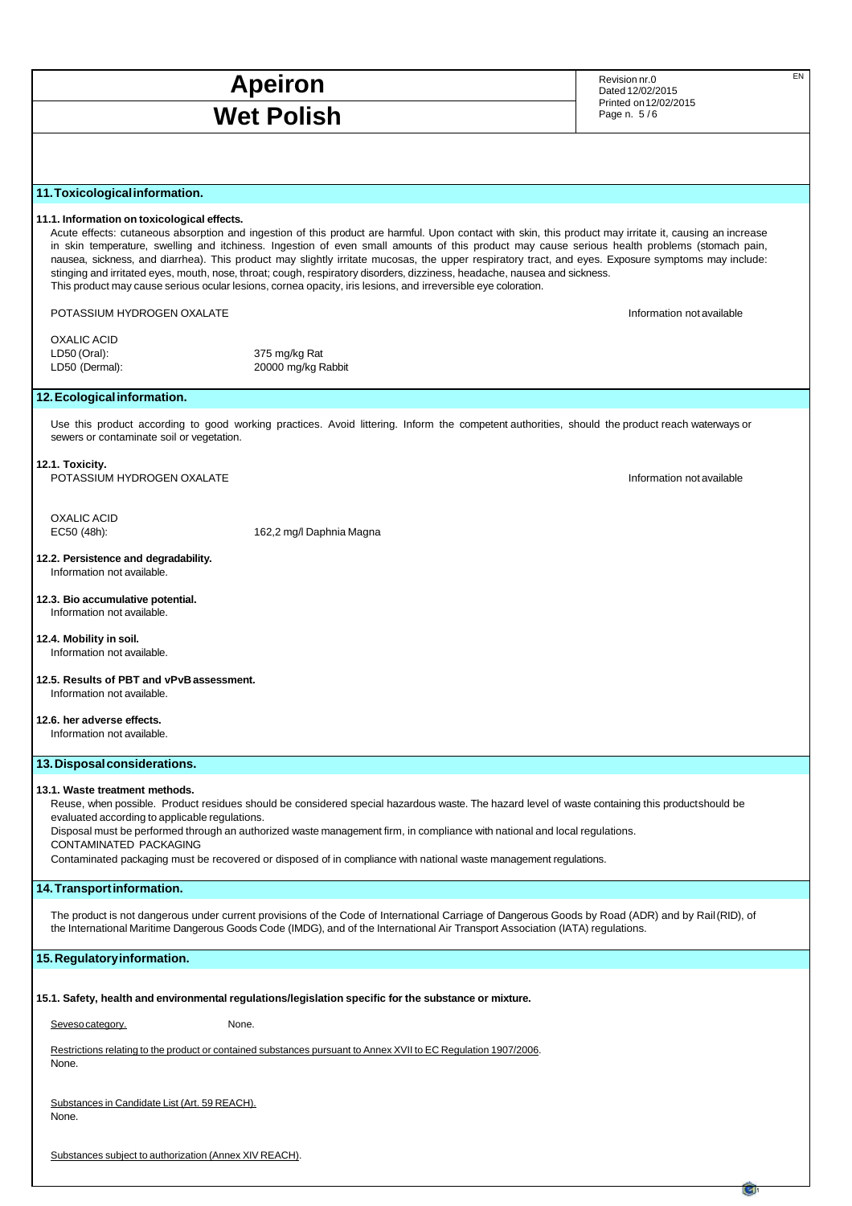## **Apeiron** EN Revision nr.0 EN Revision nr.0 EN Wet Polish **Example 2018**

Dated 12/02/2015 Printed on 12/02/2015

## **11. Toxicological information.**

#### **11.1. Information on toxicological effects.**

Acute effects: cutaneous absorption and ingestion of this product are harmful. Upon contact with skin, this product may irritate it, causing an increase in skin temperature, swelling and itchiness. Ingestion of even small amounts of this product may cause serious health problems (stomach pain, nausea, sickness, and diarrhea). This product may slightly irritate mucosas, the upper respiratory tract, and eyes. Exposure symptoms may include: stinging and irritated eyes, mouth, nose, throat; cough, respiratory disorders, dizziness, headache, nausea and sickness. This product may cause serious ocular lesions, cornea opacity, iris lesions, and irreversible eye coloration.

### POTASSIUM HYDROGEN OXALATE **Information of available** information not available

OXALIC ACID LD50 (Oral): 375 mg/kg Rat

LD50 (Dermal): 20000 mg/kg Rabbit

## **12. Ecological information.**

Use this product according to good working practices. Avoid littering. Inform the competent authorities, should the product reach waterways or sewers or contaminate soil or vegetation.

#### **12.1. Toxicity.**

OXALIC ACID

POTASSIUM HYDROGEN OXALATE **Information of available** information not available

EC50 (48h): 162,2 mg/l Daphnia Magna

**12.2. Persistence and degradability.** Information not available.

#### **12.3. Bio accumulative potential.** Information not available.

**12.4. Mobility in soil.**

Information not available.

**12.5. Results of PBT and vPvB assessment.** Information not available.

#### **12.6. her adverse effects.**

Information not available.

## **13. Disposal considerations.**

## **13.1. Waste treatment methods.**

Reuse, when possible. Product residues should be considered special hazardous waste. The hazard level of waste containing this product should be evaluated according to applicable regulations.

Disposal must be performed through an authorized waste management firm, in compliance with national and local regulations. CONTAMINATED PACKAGING

Contaminated packaging must be recovered or disposed of in compliance with national waste management regulations.

## **14. Transport information.**

The product is not dangerous under current provisions of the Code of International Carriage of Dangerous Goods by Road (ADR) and by Rail (RID), of the International Maritime Dangerous Goods Code (IMDG), and of the International Air Transport Association (IATA) regulations.

## **15. Regulatory information.**

**15.1. Safety, health and environmental regulations/legislation specific for the substance or mixture.**

Seveso category. None.

Restrictions relating to the product or contained substances pursuant to Annex XVII to EC Regulation 1907/2006. None.

| Substances in Candidate List (Art. 59 REACH). |  |
|-----------------------------------------------|--|
| None.                                         |  |

Substances subject to authorization (Annex XIV REACH).

M